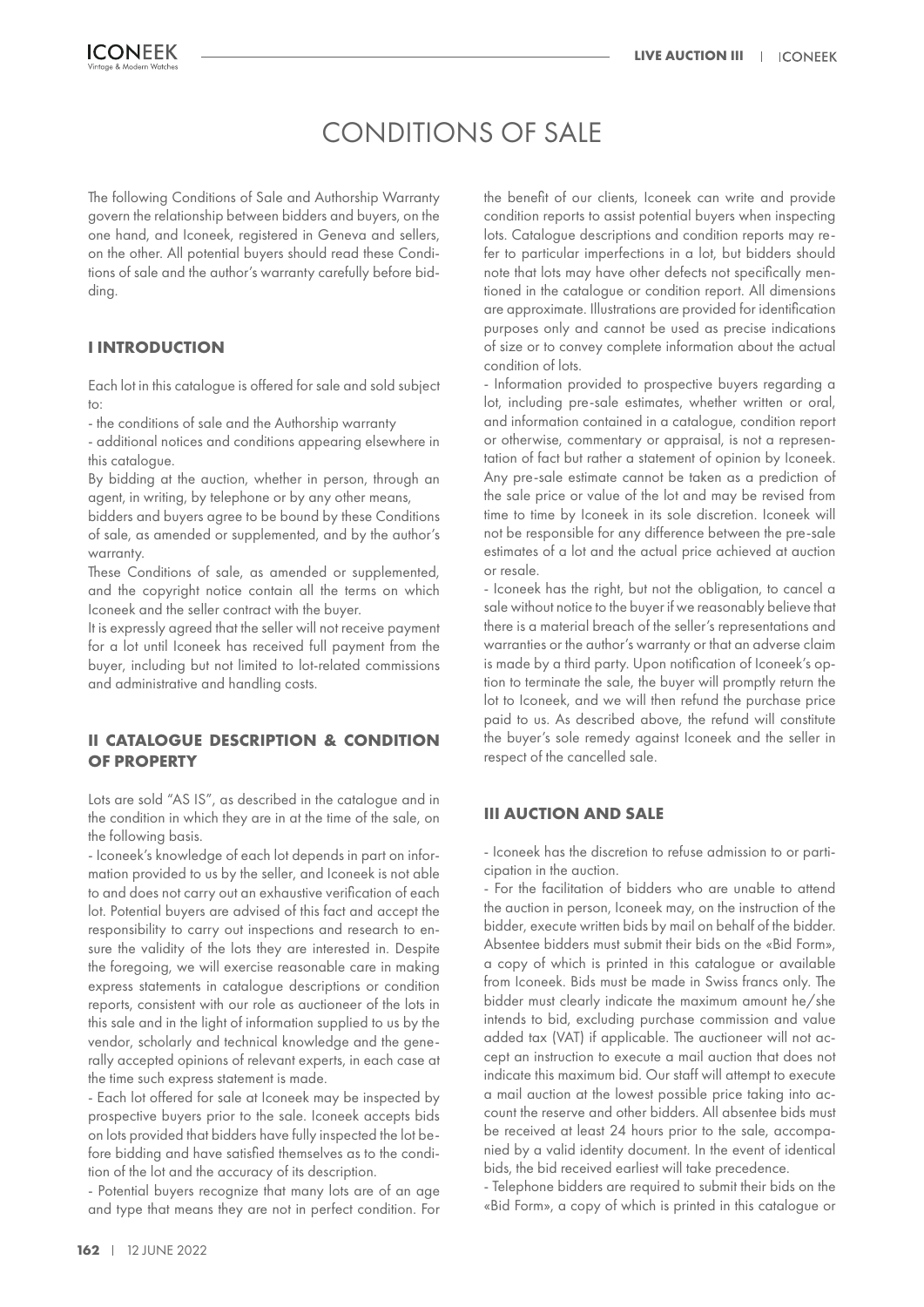# CONDITIONS OF SALE

The following Conditions of Sale and Authorship Warranty govern the relationship between bidders and buyers, on the one hand, and Iconeek, registered in Geneva and sellers, on the other. All potential buyers should read these Conditions of sale and the author's warranty carefully before bidding.

## **I INTRODUCTION**

Each lot in this catalogue is offered for sale and sold subject to:

- the conditions of sale and the Authorship warranty

- additional notices and conditions appearing elsewhere in this catalogue.

By bidding at the auction, whether in person, through an agent, in writing, by telephone or by any other means,

bidders and buyers agree to be bound by these Conditions of sale, as amended or supplemented, and by the author's warranty.

These Conditions of sale, as amended or supplemented, and the copyright notice contain all the terms on which Iconeek and the seller contract with the buyer.

It is expressly agreed that the seller will not receive payment for a lot until Iconeek has received full payment from the buyer, including but not limited to lot-related commissions and administrative and handling costs.

# **II CATALOGUE DESCRIPTION & CONDITION OF PROPERTY**

Lots are sold "AS IS", as described in the catalogue and in the condition in which they are in at the time of the sale, on the following basis.

- Iconeek's knowledge of each lot depends in part on information provided to us by the seller, and Iconeek is not able to and does not carry out an exhaustive verification of each lot. Potential buyers are advised of this fact and accept the responsibility to carry out inspections and research to ensure the validity of the lots they are interested in. Despite the foregoing, we will exercise reasonable care in making express statements in catalogue descriptions or condition reports, consistent with our role as auctioneer of the lots in this sale and in the light of information supplied to us by the vendor, scholarly and technical knowledge and the generally accepted opinions of relevant experts, in each case at the time such express statement is made.

- Each lot offered for sale at Iconeek may be inspected by prospective buyers prior to the sale. Iconeek accepts bids on lots provided that bidders have fully inspected the lot before bidding and have satisfied themselves as to the condition of the lot and the accuracy of its description.

- Potential buyers recognize that many lots are of an age and type that means they are not in perfect condition. For the benefit of our clients, Iconeek can write and provide condition reports to assist potential buyers when inspecting lots. Catalogue descriptions and condition reports may refer to particular imperfections in a lot, but bidders should note that lots may have other defects not specifically mentioned in the catalogue or condition report. All dimensions are approximate. Illustrations are provided for identification purposes only and cannot be used as precise indications of size or to convey complete information about the actual condition of lots.

- Information provided to prospective buyers regarding a lot, including pre-sale estimates, whether written or oral, and information contained in a catalogue, condition report or otherwise, commentary or appraisal, is not a representation of fact but rather a statement of opinion by Iconeek. Any pre-sale estimate cannot be taken as a prediction of the sale price or value of the lot and may be revised from time to time by Iconeek in its sole discretion. Iconeek will not be responsible for any difference between the pre-sale estimates of a lot and the actual price achieved at auction or resale.

- Iconeek has the right, but not the obligation, to cancel a sale without notice to the buyer if we reasonably believe that there is a material breach of the seller's representations and warranties or the author's warranty or that an adverse claim is made by a third party. Upon notification of Iconeek's option to terminate the sale, the buyer will promptly return the lot to Iconeek, and we will then refund the purchase price paid to us. As described above, the refund will constitute the buyer's sole remedy against Iconeek and the seller in respect of the cancelled sale.

#### **III AUCTION AND SALE**

- Iconeek has the discretion to refuse admission to or participation in the auction.

- For the facilitation of bidders who are unable to attend the auction in person, Iconeek may, on the instruction of the bidder, execute written bids by mail on behalf of the bidder. Absentee bidders must submit their bids on the «Bid Form», a copy of which is printed in this catalogue or available from Iconeek. Bids must be made in Swiss francs only. The bidder must clearly indicate the maximum amount he/she intends to bid, excluding purchase commission and value added tax (VAT) if applicable. The auctioneer will not accept an instruction to execute a mail auction that does not indicate this maximum bid. Our staff will attempt to execute a mail auction at the lowest possible price taking into account the reserve and other bidders. All absentee bids must be received at least 24 hours prior to the sale, accompanied by a valid identity document. In the event of identical bids, the bid received earliest will take precedence.

- Telephone bidders are required to submit their bids on the «Bid Form», a copy of which is printed in this catalogue or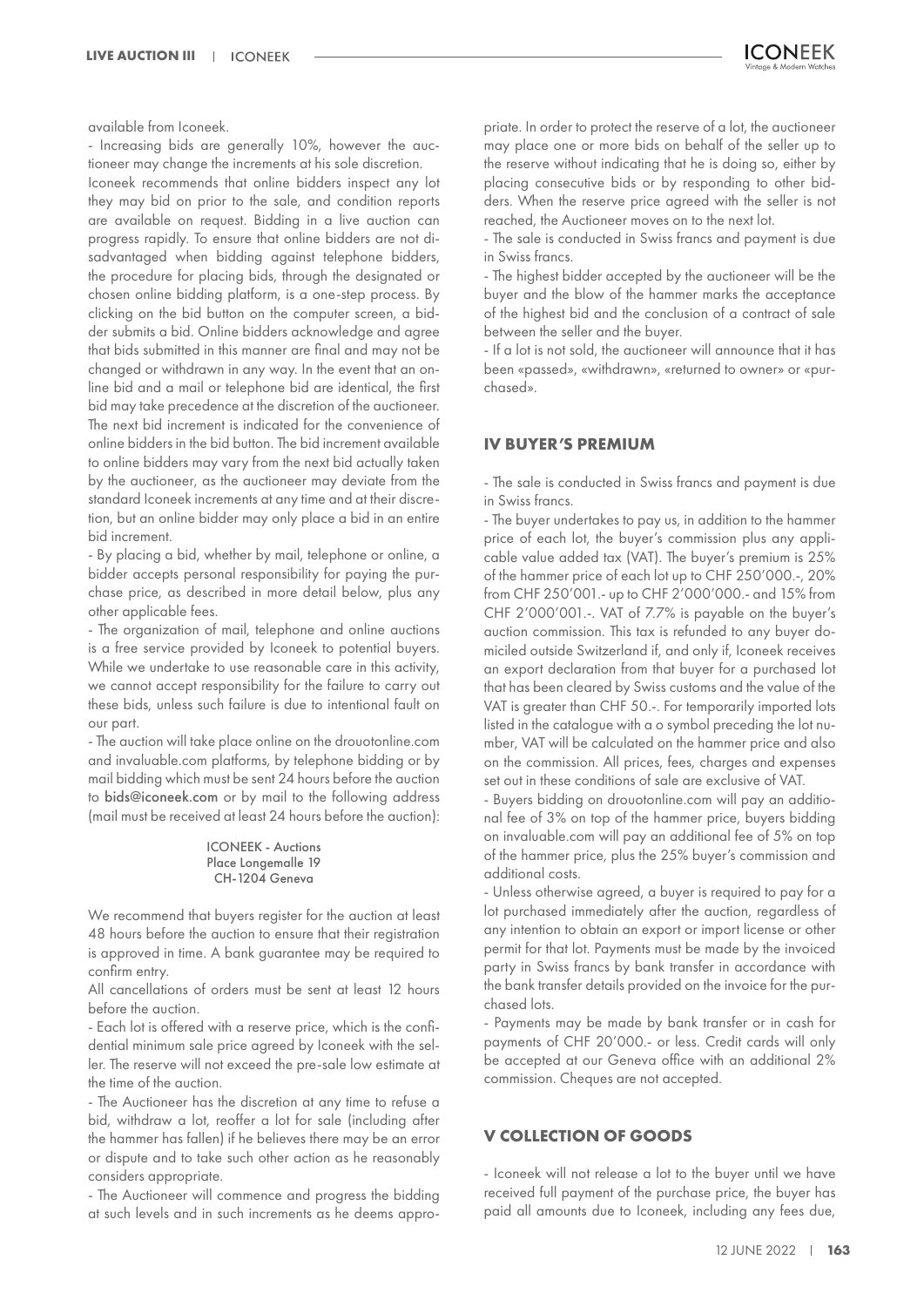available from Iconeek.

- Increasing bids are generally 10%, however the auctioneer may change the increments at his sole discretion.

Iconeek recommends that online bidders inspect any lot they may bid on prior to the sale, and condition reports are available on request. Bidding in a live auction can progress rapidly. To ensure that online bidders are not disadvantaged when bidding against telephone bidders, the procedure for placing bids, through the designated or chosen online bidding platform, is a one-step process. By clicking on the bid button on the computer screen, a bidder submits a bid. Online bidders acknowledge and agree that bids submitted in this manner are final and may not be changed or withdrawn in any way. In the event that an online bid and a mail or telephone bid are identical, the first bid may take precedence at the discretion of the auctioneer. The next bid increment is indicated for the convenience of online bidders in the bid button. The bid increment available to online bidders may vary from the next bid actually taken by the auctioneer, as the auctioneer may deviate from the standard Iconeek increments at any time and at their discretion, but an online bidder may only place a bid in an entire bid increment.

- By placing a bid, whether by mail, telephone or online, a bidder accepts personal responsibility for paying the purchase price, as described in more detail below, plus any other applicable fees.

- The organization of mail, telephone and online auctions is a free service provided by Iconeek to potential buyers. While we undertake to use reasonable care in this activity, we cannot accept responsibility for the failure to carry out these bids, unless such failure is due to intentional fault on our part.

- The auction will take place online on the drouotonline.com and invaluable.com platforms, by telephone bidding or by mail bidding which must be sent 24 hours before the auction to bids@iconeek.com or by mail to the following address (mail must be received at least 24 hours before the auction):

#### ICONEEK - Auctions Place Longemalle 19 CH-1204 Geneva

We recommend that buyers register for the auction at least 48 hours before the auction to ensure that their registration is approved in time. A bank guarantee may be required to confirm entry.

All cancellations of orders must be sent at least 12 hours before the auction.

- Each lot is offered with a reserve price, which is the confidential minimum sale price agreed by Iconeek with the seller. The reserve will not exceed the pre-sale low estimate at the time of the auction.

- The Auctioneer has the discretion at any time to refuse a bid, withdraw a lot, reoffer a lot for sale (including after the hammer has fallen) if he believes there may be an error or dispute and to take such other action as he reasonably considers appropriate.

- The Auctioneer will commence and progress the bidding at such levels and in such increments as he deems appropriate. In order to protect the reserve of a lot, the auctioneer may place one or more bids on behalf of the seller up to the reserve without indicating that he is doing so, either by placing consecutive bids or by responding to other bidders. When the reserve price agreed with the seller is not reached, the Auctioneer moves on to the next lot.

- The sale is conducted in Swiss francs and payment is due in Swiss francs.

- The highest bidder accepted by the auctioneer will be the buyer and the blow of the hammer marks the acceptance of the highest bid and the conclusion of a contract of sale between the seller and the buyer.

- If a lot is not sold, the auctioneer will announce that it has been «passed», «withdrawn», «returned to owner» or «purchased».

#### **IV BUYER'S PREMIUM**

- The sale is conducted in Swiss francs and payment is due in Swiss francs.

- The buyer undertakes to pay us, in addition to the hammer price of each lot, the buyer's commission plus any applicable value added tax (VAT). The buyer's premium is 25% of the hammer price of each lot up to CHF 250'000.-, 20% from CHF 250'001.- up to CHF 2'000'000.- and 15% from CHF 2'000'001.-. VAT of 7.7% is payable on the buyer's auction commission. This tax is refunded to any buyer domiciled outside Switzerland if, and only if, Iconeek receives an export declaration from that buyer for a purchased lot that has been cleared by Swiss customs and the value of the VAT is greater than CHF 50.-. For temporarily imported lots listed in the catalogue with a o symbol preceding the lot number, VAT will be calculated on the hammer price and also on the commission. All prices, fees, charges and expenses set out in these conditions of sale are exclusive of VAT.

- Buyers bidding on drouotonline.com will pay an additional fee of 3% on top of the hammer price, buyers bidding on invaluable.com will pay an additional fee of 5% on top of the hammer price, plus the 25% buyer's commission and additional costs.

- Unless otherwise agreed, a buyer is required to pay for a lot purchased immediately after the auction, regardless of any intention to obtain an export or import license or other permit for that lot. Payments must be made by the invoiced party in Swiss francs by bank transfer in accordance with the bank transfer details provided on the invoice for the purchased lots.

- Payments may be made by bank transfer or in cash for payments of CHF 20'000.- or less. Credit cards will only be accepted at our Geneva office with an additional 2% commission. Cheques are not accepted.

# **V COLLECTION OF GOODS**

- Iconeek will not release a lot to the buyer until we have received full payment of the purchase price, the buyer has paid all amounts due to Iconeek, including any fees due,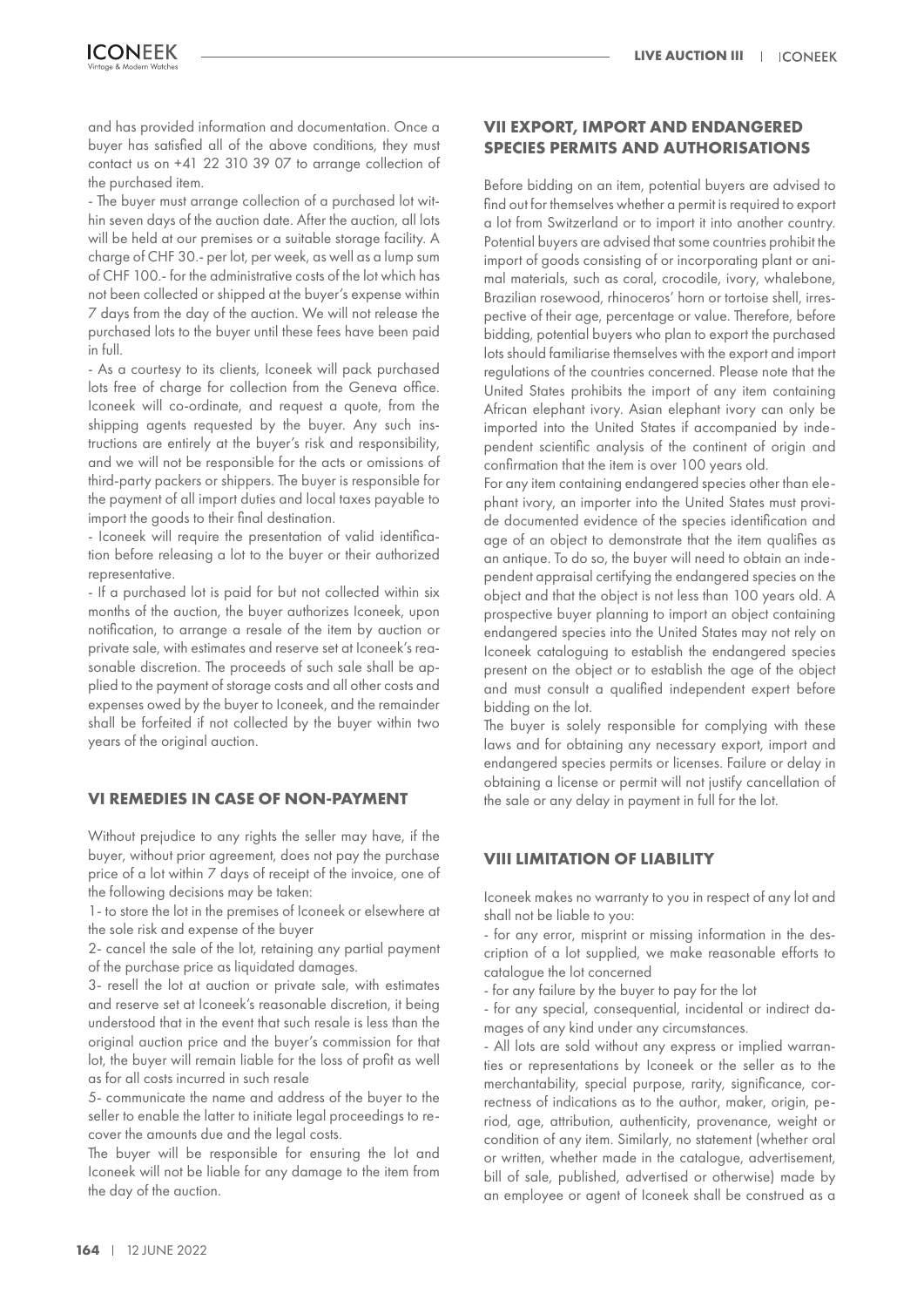and has provided information and documentation. Once a buyer has satisfied all of the above conditions, they must contact us on +41 22 310 39 07 to arrange collection of the purchased item.

- The buyer must arrange collection of a purchased lot within seven days of the auction date. After the auction, all lots will be held at our premises or a suitable storage facility. A charge of CHF 30.- per lot, per week, as well as a lump sum of CHF 100.- for the administrative costs of the lot which has not been collected or shipped at the buyer's expense within 7 days from the day of the auction. We will not release the purchased lots to the buyer until these fees have been paid in full.

- As a courtesy to its clients, Iconeek will pack purchased lots free of charge for collection from the Geneva office. Iconeek will co-ordinate, and request a quote, from the shipping agents requested by the buyer. Any such instructions are entirely at the buyer's risk and responsibility, and we will not be responsible for the acts or omissions of third-party packers or shippers. The buyer is responsible for the payment of all import duties and local taxes payable to import the goods to their final destination.

- Iconeek will require the presentation of valid identification before releasing a lot to the buyer or their authorized representative.

- If a purchased lot is paid for but not collected within six months of the auction, the buyer authorizes Iconeek, upon notification, to arrange a resale of the item by auction or private sale, with estimates and reserve set at Iconeek's reasonable discretion. The proceeds of such sale shall be applied to the payment of storage costs and all other costs and expenses owed by the buyer to Iconeek, and the remainder shall be forfeited if not collected by the buyer within two years of the original auction.

#### **VI REMEDIES IN CASE OF NON-PAYMENT**

Without prejudice to any rights the seller may have, if the buyer, without prior agreement, does not pay the purchase price of a lot within 7 days of receipt of the invoice, one of the following decisions may be taken:

1- to store the lot in the premises of Iconeek or elsewhere at the sole risk and expense of the buyer

2- cancel the sale of the lot, retaining any partial payment of the purchase price as liquidated damages.

3- resell the lot at auction or private sale, with estimates and reserve set at Iconeek's reasonable discretion, it being understood that in the event that such resale is less than the original auction price and the buyer's commission for that lot, the buyer will remain liable for the loss of profit as well as for all costs incurred in such resale

5- communicate the name and address of the buyer to the seller to enable the latter to initiate legal proceedings to recover the amounts due and the legal costs.

The buyer will be responsible for ensuring the lot and Iconeek will not be liable for any damage to the item from the day of the auction.

# **VII EXPORT, IMPORT AND ENDANGERED SPECIES PERMITS AND AUTHORISATIONS**

Before bidding on an item, potential buyers are advised to find out for themselves whether a permit is required to export a lot from Switzerland or to import it into another country. Potential buyers are advised that some countries prohibit the import of goods consisting of or incorporating plant or animal materials, such as coral, crocodile, ivory, whalebone, Brazilian rosewood, rhinoceros' horn or tortoise shell, irrespective of their age, percentage or value. Therefore, before bidding, potential buyers who plan to export the purchased lots should familiarise themselves with the export and import regulations of the countries concerned. Please note that the United States prohibits the import of any item containing African elephant ivory. Asian elephant ivory can only be imported into the United States if accompanied by independent scientific analysis of the continent of origin and confirmation that the item is over 100 years old.

For any item containing endangered species other than elephant ivory, an importer into the United States must provide documented evidence of the species identification and age of an object to demonstrate that the item qualifies as an antique. To do so, the buyer will need to obtain an independent appraisal certifying the endangered species on the object and that the object is not less than 100 years old. A prospective buyer planning to import an object containing endangered species into the United States may not rely on Iconeek cataloguing to establish the endangered species present on the object or to establish the age of the object and must consult a qualified independent expert before bidding on the lot.

The buyer is solely responsible for complying with these laws and for obtaining any necessary export, import and endangered species permits or licenses. Failure or delay in obtaining a license or permit will not justify cancellation of the sale or any delay in payment in full for the lot.

#### **VIII LIMITATION OF LIABILITY**

Iconeek makes no warranty to you in respect of any lot and shall not be liable to you:

- for any error, misprint or missing information in the description of a lot supplied, we make reasonable efforts to catalogue the lot concerned

- for any failure by the buyer to pay for the lot

- for any special, consequential, incidental or indirect damages of any kind under any circumstances.

- All lots are sold without any express or implied warranties or representations by Iconeek or the seller as to the merchantability, special purpose, rarity, significance, correctness of indications as to the author, maker, origin, period, age, attribution, authenticity, provenance, weight or condition of any item. Similarly, no statement (whether oral or written, whether made in the catalogue, advertisement, bill of sale, published, advertised or otherwise) made by an employee or agent of Iconeek shall be construed as a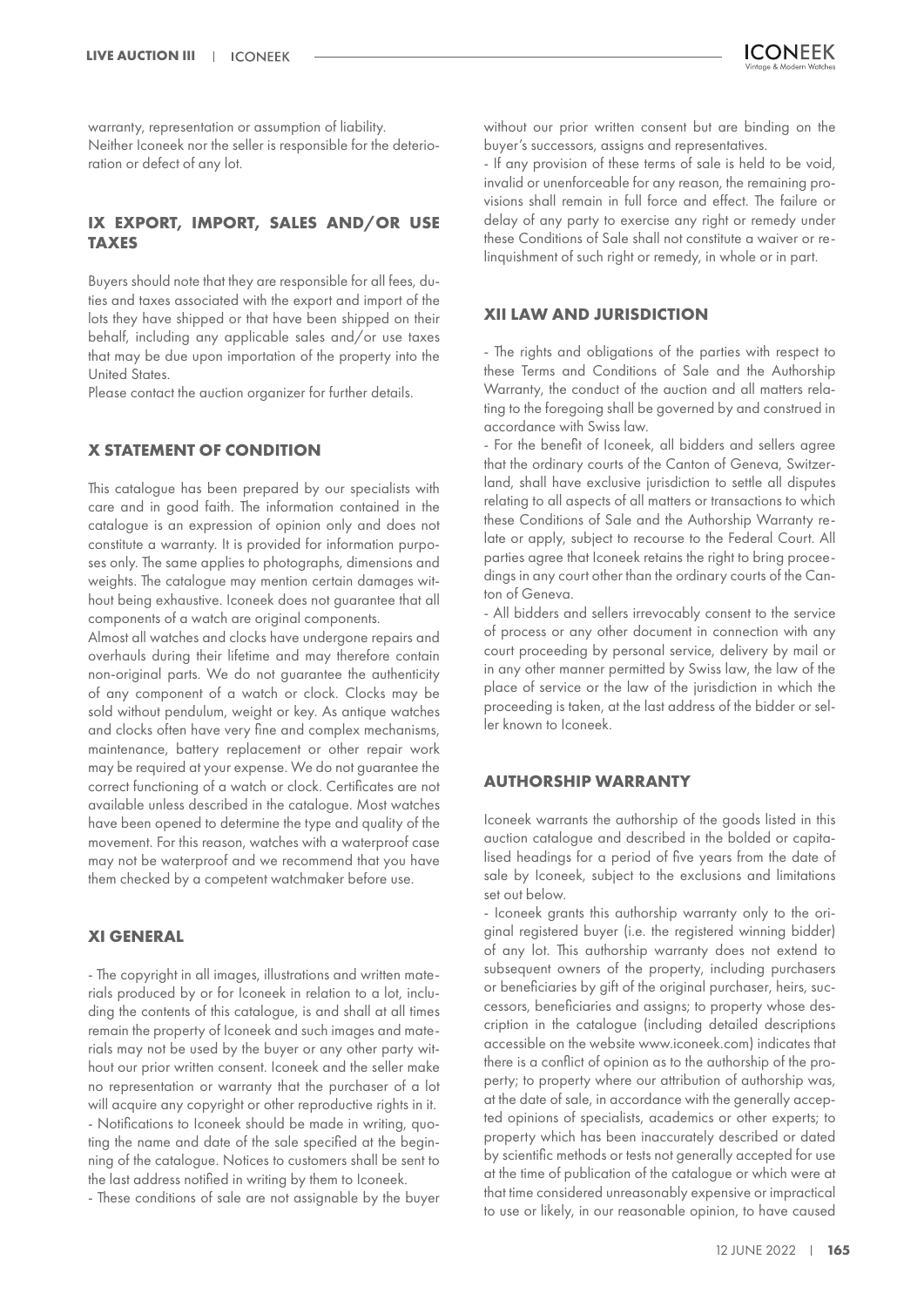warranty, representation or assumption of liability. Neither Iconeek nor the seller is responsible for the deterioration or defect of any lot.

# **IX EXPORT, IMPORT, SALES AND/OR USE TAXES**

Buyers should note that they are responsible for all fees, duties and taxes associated with the export and import of the lots they have shipped or that have been shipped on their behalf, including any applicable sales and/or use taxes that may be due upon importation of the property into the United States.

Please contact the auction organizer for further details.

#### **X STATEMENT OF CONDITION**

This catalogue has been prepared by our specialists with care and in good faith. The information contained in the catalogue is an expression of opinion only and does not constitute a warranty. It is provided for information purposes only. The same applies to photographs, dimensions and weights. The catalogue may mention certain damages without being exhaustive. Iconeek does not guarantee that all components of a watch are original components.

Almost all watches and clocks have undergone repairs and overhauls during their lifetime and may therefore contain non-original parts. We do not guarantee the authenticity of any component of a watch or clock. Clocks may be sold without pendulum, weight or key. As antique watches and clocks often have very fine and complex mechanisms, maintenance, battery replacement or other repair work may be required at your expense. We do not guarantee the correct functioning of a watch or clock. Certificates are not available unless described in the catalogue. Most watches have been opened to determine the type and quality of the movement. For this reason, watches with a waterproof case may not be waterproof and we recommend that you have them checked by a competent watchmaker before use.

#### **XI GENERAL**

- The copyright in all images, illustrations and written materials produced by or for Iconeek in relation to a lot, including the contents of this catalogue, is and shall at all times remain the property of Iconeek and such images and materials may not be used by the buyer or any other party without our prior written consent. Iconeek and the seller make no representation or warranty that the purchaser of a lot will acquire any copyright or other reproductive rights in it. - Notifications to Iconeek should be made in writing, quoting the name and date of the sale specified at the beginning of the catalogue. Notices to customers shall be sent to the last address notified in writing by them to Iconeek.

- These conditions of sale are not assignable by the buyer

without our prior written consent but are binding on the buyer's successors, assigns and representatives.

- If any provision of these terms of sale is held to be void, invalid or unenforceable for any reason, the remaining provisions shall remain in full force and effect. The failure or delay of any party to exercise any right or remedy under these Conditions of Sale shall not constitute a waiver or relinquishment of such right or remedy, in whole or in part.

#### **XII LAW AND JURISDICTION**

- The rights and obligations of the parties with respect to these Terms and Conditions of Sale and the Authorship Warranty, the conduct of the auction and all matters relating to the foregoing shall be governed by and construed in accordance with Swiss law.

- For the benefit of Iconeek, all bidders and sellers agree that the ordinary courts of the Canton of Geneva, Switzerland, shall have exclusive jurisdiction to settle all disputes relating to all aspects of all matters or transactions to which these Conditions of Sale and the Authorship Warranty relate or apply, subject to recourse to the Federal Court. All parties agree that Iconeek retains the right to bring proceedings in any court other than the ordinary courts of the Canton of Geneva.

- All bidders and sellers irrevocably consent to the service of process or any other document in connection with any court proceeding by personal service, delivery by mail or in any other manner permitted by Swiss law, the law of the place of service or the law of the jurisdiction in which the proceeding is taken, at the last address of the bidder or seller known to Iconeek.

#### **AUTHORSHIP WARRANTY**

Iconeek warrants the authorship of the goods listed in this auction catalogue and described in the bolded or capitalised headings for a period of five years from the date of sale by Iconeek, subject to the exclusions and limitations set out below.

- Iconeek grants this authorship warranty only to the original registered buyer (i.e. the registered winning bidder) of any lot. This authorship warranty does not extend to subsequent owners of the property, including purchasers or beneficiaries by gift of the original purchaser, heirs, successors, beneficiaries and assigns; to property whose description in the catalogue (including detailed descriptions accessible on the website www.iconeek.com) indicates that there is a conflict of opinion as to the authorship of the property; to property where our attribution of authorship was, at the date of sale, in accordance with the generally accepted opinions of specialists, academics or other experts; to property which has been inaccurately described or dated by scientific methods or tests not generally accepted for use at the time of publication of the catalogue or which were at that time considered unreasonably expensive or impractical to use or likely, in our reasonable opinion, to have caused